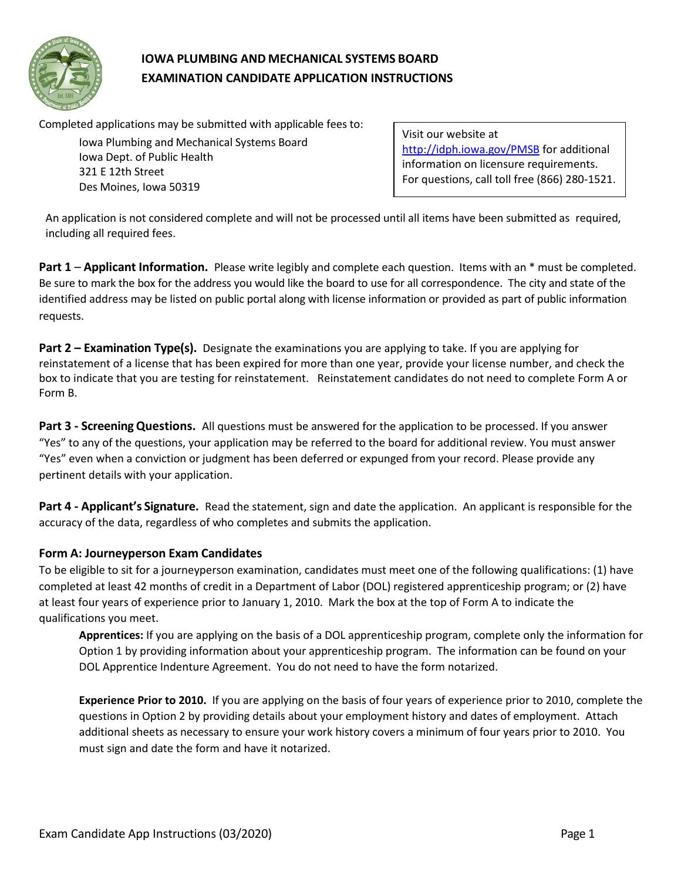

# **IOWA PLUMBING AND MECHANICAL SYSTEMS BOARD EXAMINATION CANDIDATE APPLICATION INSTRUCTIONS**

Completed applications may be submitted with applicable fees to:

Iowa Plumbing and Mechanical Systems Board Iowa Dept. of Public Health 321 E 12th Street Des Moines, Iowa 50319

Visit our website at <http://idph.iowa.gov/PMSB> for additional information on licensure requirements. For questions, call toll free (866) 280-1521.

An application is not considered complete and will not be processed until all items have been submitted as required, including all required fees.

**Part 1** – **Applicant Information.** Please write legibly and complete each question. Items with an \* must be completed. Be sure to mark the box for the address you would like the board to use for all correspondence. The city and state of the identified address may be listed on public portal along with license information or provided as part of public information requests.

**Part 2 – Examination Type(s).** Designate the examinations you are applying to take. If you are applying for reinstatement of a license that has been expired for more than one year, provide your license number, and check the box to indicate that you are testing for reinstatement. Reinstatement candidates do not need to complete Form A or Form B.

**Part 3 - ScreeningQuestions.** All questions must be answered for the application to be processed. If you answer "Yes" to any of the questions, your application may be referred to the board for additional review. You must answer "Yes" even when a conviction or judgment has been deferred or expunged from your record. Please provide any pertinent details with your application.

**Part 4 - Applicant's Signature.** Read the statement, sign and date the application. An applicant is responsible for the accuracy of the data, regardless of who completes and submits the application.

# **Form A: Journeyperson Exam Candidates**

To be eligible to sit for a journeyperson examination, candidates must meet one of the following qualifications: (1) have completed at least 42 months of credit in a Department of Labor (DOL) registered apprenticeship program; or (2) have at least four years of experience prior to January 1, 2010. Mark the box at the top of Form A to indicate the qualifications you meet.

**Apprentices:** If you are applying on the basis of a DOL apprenticeship program, complete only the information for Option 1 by providing information about your apprenticeship program. The information can be found on your DOL Apprentice Indenture Agreement. You do not need to have the form notarized.

**Experience Prior to 2010.** If you are applying on the basis of four years of experience prior to 2010, complete the questions in Option 2 by providing details about your employment history and dates of employment. Attach additional sheets as necessary to ensure your work history covers a minimum of four years prior to 2010. You must sign and date the form and have it notarized.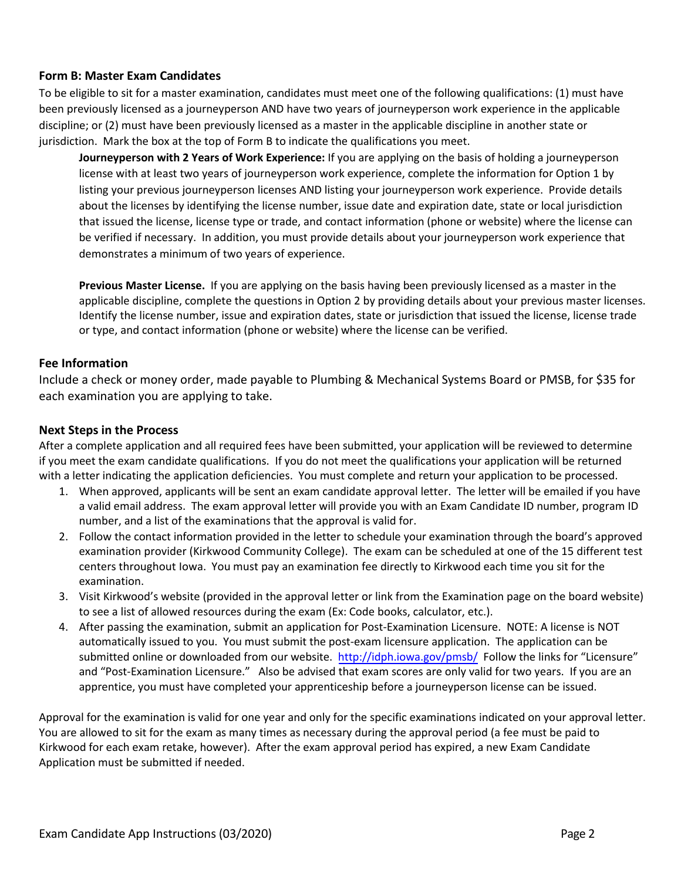# **Form B: Master Exam Candidates**

To be eligible to sit for a master examination, candidates must meet one of the following qualifications: (1) must have been previously licensed as a journeyperson AND have two years of journeyperson work experience in the applicable discipline; or (2) must have been previously licensed as a master in the applicable discipline in another state or jurisdiction. Mark the box at the top of Form B to indicate the qualifications you meet.

**Journeyperson with 2 Years of Work Experience:** If you are applying on the basis of holding a journeyperson license with at least two years of journeyperson work experience, complete the information for Option 1 by listing your previous journeyperson licenses AND listing your journeyperson work experience. Provide details about the licenses by identifying the license number, issue date and expiration date, state or local jurisdiction that issued the license, license type or trade, and contact information (phone or website) where the license can be verified if necessary. In addition, you must provide details about your journeyperson work experience that demonstrates a minimum of two years of experience.

**Previous Master License.** If you are applying on the basis having been previously licensed as a master in the applicable discipline, complete the questions in Option 2 by providing details about your previous master licenses. Identify the license number, issue and expiration dates, state or jurisdiction that issued the license, license trade or type, and contact information (phone or website) where the license can be verified.

# **Fee Information**

Include a check or money order, made payable to Plumbing & Mechanical Systems Board or PMSB, for \$35 for each examination you are applying to take.

#### **Next Steps in the Process**

After a complete application and all required fees have been submitted, your application will be reviewed to determine if you meet the exam candidate qualifications. If you do not meet the qualifications your application will be returned with a letter indicating the application deficiencies. You must complete and return your application to be processed.

- 1. When approved, applicants will be sent an exam candidate approval letter. The letter will be emailed if you have a valid email address. The exam approval letter will provide you with an Exam Candidate ID number, program ID number, and a list of the examinations that the approval is valid for.
- 2. Follow the contact information provided in the letter to schedule your examination through the board's approved examination provider (Kirkwood Community College). The exam can be scheduled at one of the 15 different test centers throughout Iowa. You must pay an examination fee directly to Kirkwood each time you sit for the examination.
- 3. Visit Kirkwood's website (provided in the approval letter or link from the Examination page on the board website) to see a list of allowed resources during the exam (Ex: Code books, calculator, etc.).
- 4. After passing the examination, submit an application for Post-Examination Licensure. NOTE: A license is NOT automatically issued to you. You must submit the post-exam licensure application. The application can be submitted online or downloaded from our website. <http://idph.iowa.gov/pmsb/> Follow the links for "Licensure" and "Post-Examination Licensure." Also be advised that exam scores are only valid for two years. If you are an apprentice, you must have completed your apprenticeship before a journeyperson license can be issued.

Approval for the examination is valid for one year and only for the specific examinations indicated on your approval letter. You are allowed to sit for the exam as many times as necessary during the approval period (a fee must be paid to Kirkwood for each exam retake, however). After the exam approval period has expired, a new Exam Candidate Application must be submitted if needed.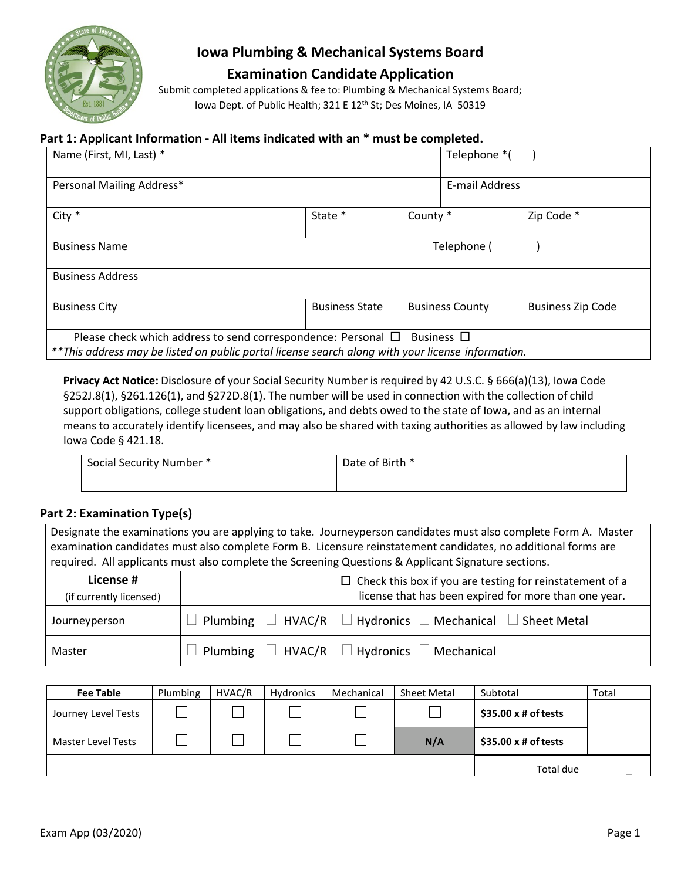

# **Iowa Plumbing & Mechanical Systems Board Examination Candidate Application**

Submit completed applications & fee to: Plumbing & Mechanical Systems Board; Iowa Dept. of Public Health; 321 E 12<sup>th</sup> St; Des Moines, IA 50319

#### **Part 1: Applicant Information - All items indicated with an \* must be completed.**

| Name (First, MI, Last) *                                                                                                                                                |                       |          | Telephone *(           |                          |
|-------------------------------------------------------------------------------------------------------------------------------------------------------------------------|-----------------------|----------|------------------------|--------------------------|
| Personal Mailing Address*                                                                                                                                               |                       |          | E-mail Address         |                          |
| $City *$                                                                                                                                                                | State *               | County * |                        | Zip Code *               |
| <b>Business Name</b>                                                                                                                                                    |                       |          | Telephone (            |                          |
| <b>Business Address</b>                                                                                                                                                 |                       |          |                        |                          |
| <b>Business City</b>                                                                                                                                                    | <b>Business State</b> |          | <b>Business County</b> | <b>Business Zip Code</b> |
| Please check which address to send correspondence: Personal $\Box$<br>**This address may be listed on public portal license search along with your license information. |                       |          | Business □             |                          |

**Privacy Act Notice:** Disclosure of your Social Security Number is required by 42 U.S.C. § 666(a)(13), Iowa Code §252J.8(1), §261.126(1), and §272D.8(1). The number will be used in connection with the collection of child support obligations, college student loan obligations, and debts owed to the state of Iowa, and as an internal means to accurately identify licensees, and may also be shared with taxing authorities as allowed by law including Iowa Code § 421.18.

| Social Security Number * | Date of Birth * |
|--------------------------|-----------------|
|                          |                 |

# **Part 2: Examination Type(s)**

| Designate the examinations you are applying to take. Journeyperson candidates must also complete Form A. Master<br>examination candidates must also complete Form B. Licensure reinstatement candidates, no additional forms are<br>required. All applicants must also complete the Screening Questions & Applicant Signature sections. |                                    |                                                                 |  |  |  |  |
|-----------------------------------------------------------------------------------------------------------------------------------------------------------------------------------------------------------------------------------------------------------------------------------------------------------------------------------------|------------------------------------|-----------------------------------------------------------------|--|--|--|--|
| License #                                                                                                                                                                                                                                                                                                                               |                                    | $\Box$ Check this box if you are testing for reinstatement of a |  |  |  |  |
| (if currently licensed)                                                                                                                                                                                                                                                                                                                 |                                    | license that has been expired for more than one year.           |  |  |  |  |
| Plumbing $\Box$ HVAC/R $\Box$ Hydronics $\Box$ Mechanical $\Box$ Sheet Metal<br>Journeyperson                                                                                                                                                                                                                                           |                                    |                                                                 |  |  |  |  |
| Plumbing $\Box$ HVAC/R $\Box$ Hydronics $\Box$ Mechanical<br>Master                                                                                                                                                                                                                                                                     |                                    |                                                                 |  |  |  |  |
|                                                                                                                                                                                                                                                                                                                                         |                                    |                                                                 |  |  |  |  |
| $\sim$ 1.1                                                                                                                                                                                                                                                                                                                              | $\cdots$<br>$\cdots$ $\cdots$<br>. | .<br>at the time<br>.                                           |  |  |  |  |

| <b>Fee Table</b>    | Plumbing | HVAC/R | Hydronics | Mechanical | <b>Sheet Metal</b> | Subtotal                   | Total |
|---------------------|----------|--------|-----------|------------|--------------------|----------------------------|-------|
| Journey Level Tests |          |        |           |            |                    | $$35.00 \times #$ of tests |       |
| Master Level Tests  |          |        |           |            | N/A                | $$35.00 \times #$ of tests |       |
|                     |          |        |           |            |                    | Total due                  |       |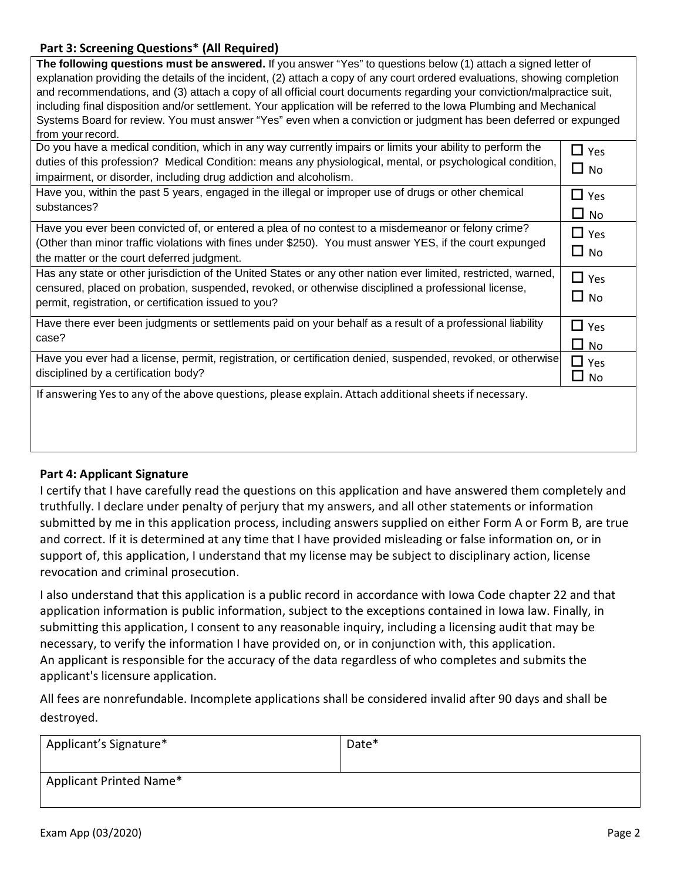# **Part 3: Screening Questions\* (All Required)**

| The following questions must be answered. If you answer "Yes" to questions below (1) attach a signed letter of            |            |  |  |  |  |  |
|---------------------------------------------------------------------------------------------------------------------------|------------|--|--|--|--|--|
| explanation providing the details of the incident, (2) attach a copy of any court ordered evaluations, showing completion |            |  |  |  |  |  |
| and recommendations, and (3) attach a copy of all official court documents regarding your conviction/malpractice suit,    |            |  |  |  |  |  |
| including final disposition and/or settlement. Your application will be referred to the lowa Plumbing and Mechanical      |            |  |  |  |  |  |
| Systems Board for review. You must answer "Yes" even when a conviction or judgment has been deferred or expunged          |            |  |  |  |  |  |
| from your record.                                                                                                         |            |  |  |  |  |  |
| Do you have a medical condition, which in any way currently impairs or limits your ability to perform the                 | $\Box$ Yes |  |  |  |  |  |
| duties of this profession? Medical Condition: means any physiological, mental, or psychological condition,                | $\Box$ No  |  |  |  |  |  |
| impairment, or disorder, including drug addiction and alcoholism.                                                         |            |  |  |  |  |  |
| Have you, within the past 5 years, engaged in the illegal or improper use of drugs or other chemical                      | $\Box$ Yes |  |  |  |  |  |
| substances?                                                                                                               | $\Box$ No  |  |  |  |  |  |
| Have you ever been convicted of, or entered a plea of no contest to a misdemeanor or felony crime?                        | $\Box$ Yes |  |  |  |  |  |
| (Other than minor traffic violations with fines under \$250). You must answer YES, if the court expunged                  |            |  |  |  |  |  |
| the matter or the court deferred judgment.                                                                                | $\Box$ No  |  |  |  |  |  |
| Has any state or other jurisdiction of the United States or any other nation ever limited, restricted, warned,            | $\Box$ Yes |  |  |  |  |  |
| censured, placed on probation, suspended, revoked, or otherwise disciplined a professional license,                       |            |  |  |  |  |  |
| permit, registration, or certification issued to you?                                                                     | $\Box$ No  |  |  |  |  |  |
| Have there ever been judgments or settlements paid on your behalf as a result of a professional liability                 | $\Box$ Yes |  |  |  |  |  |
| case?                                                                                                                     | $\Box$ No  |  |  |  |  |  |
| Have you ever had a license, permit, registration, or certification denied, suspended, revoked, or otherwise              | $\Box$ Yes |  |  |  |  |  |
| disciplined by a certification body?                                                                                      | $\Box$ No  |  |  |  |  |  |
| If answering Yes to any of the above questions, please explain. Attach additional sheets if necessary.                    |            |  |  |  |  |  |
|                                                                                                                           |            |  |  |  |  |  |
|                                                                                                                           |            |  |  |  |  |  |
|                                                                                                                           |            |  |  |  |  |  |
|                                                                                                                           |            |  |  |  |  |  |

# **Part 4: Applicant Signature**

I certify that I have carefully read the questions on this application and have answered them completely and truthfully. I declare under penalty of perjury that my answers, and all other statements or information submitted by me in this application process, including answers supplied on either Form A or Form B, are true and correct. If it is determined at any time that I have provided misleading or false information on, or in support of, this application, I understand that my license may be subject to disciplinary action, license revocation and criminal prosecution.

I also understand that this application is a public record in accordance with Iowa Code chapter 22 and that application information is public information, subject to the exceptions contained in Iowa law. Finally, in submitting this application, I consent to any reasonable inquiry, including a licensing audit that may be necessary, to verify the information I have provided on, or in conjunction with, this application. An applicant is responsible for the accuracy of the data regardless of who completes and submits the applicant's licensure application.

All fees are nonrefundable. Incomplete applications shall be considered invalid after 90 days and shall be destroyed.

| Applicant's Signature*  | Date* |
|-------------------------|-------|
| Applicant Printed Name* |       |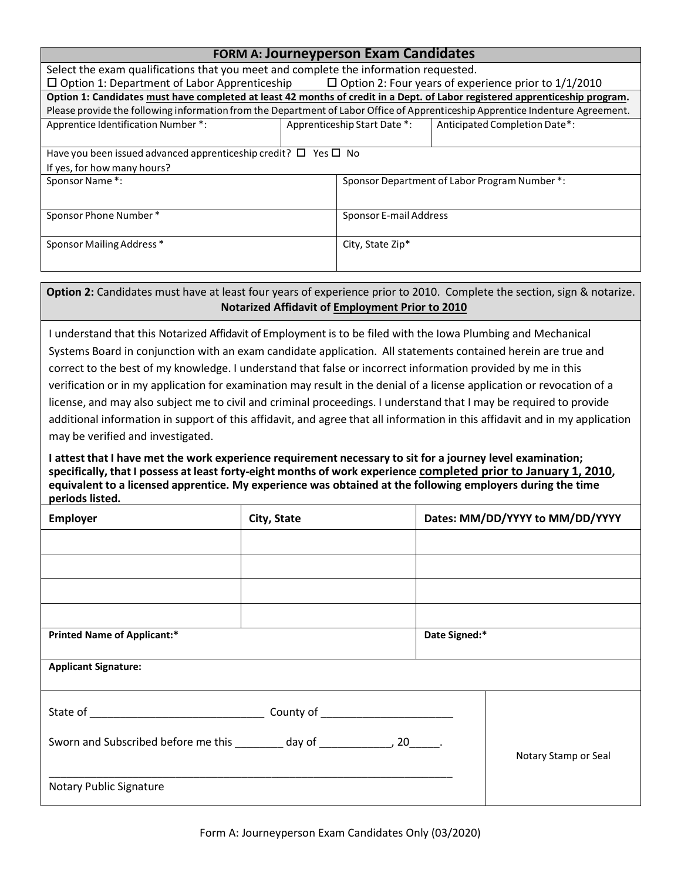| <b>FORM A: Journeyperson Exam Candidates</b>                                                                                   |                                                                                      |                              |                                               |  |  |  |  |
|--------------------------------------------------------------------------------------------------------------------------------|--------------------------------------------------------------------------------------|------------------------------|-----------------------------------------------|--|--|--|--|
|                                                                                                                                | Select the exam qualifications that you meet and complete the information requested. |                              |                                               |  |  |  |  |
| $\Box$ Option 1: Department of Labor Apprenticeship $\Box$ Option 2: Four years of experience prior to 1/1/2010                |                                                                                      |                              |                                               |  |  |  |  |
| Option 1: Candidates must have completed at least 42 months of credit in a Dept. of Labor registered apprenticeship program.   |                                                                                      |                              |                                               |  |  |  |  |
| Please provide the following information from the Department of Labor Office of Apprenticeship Apprentice Indenture Agreement. |                                                                                      |                              |                                               |  |  |  |  |
| Apprentice Identification Number *:                                                                                            |                                                                                      | Apprenticeship Start Date *: | Anticipated Completion Date*:                 |  |  |  |  |
|                                                                                                                                |                                                                                      |                              |                                               |  |  |  |  |
| Have you been issued advanced apprenticeship credit? $\square$ Yes $\square$ No                                                |                                                                                      |                              |                                               |  |  |  |  |
| If yes, for how many hours?                                                                                                    |                                                                                      |                              |                                               |  |  |  |  |
| Sponsor Name*:                                                                                                                 |                                                                                      |                              | Sponsor Department of Labor Program Number *: |  |  |  |  |
|                                                                                                                                |                                                                                      |                              |                                               |  |  |  |  |
| Sponsor Phone Number*                                                                                                          |                                                                                      | Sponsor E-mail Address       |                                               |  |  |  |  |
|                                                                                                                                |                                                                                      |                              |                                               |  |  |  |  |
| Sponsor Mailing Address *                                                                                                      |                                                                                      | City, State Zip*             |                                               |  |  |  |  |
|                                                                                                                                |                                                                                      |                              |                                               |  |  |  |  |
|                                                                                                                                |                                                                                      |                              |                                               |  |  |  |  |

**Option 2:** Candidates must have at least four years of experience prior to 2010. Complete the section, sign & notarize. **Notarized Affidavit of Employment Prior to 2010**

I understand that this Notarized Affidavit of Employment is to be filed with the Iowa Plumbing and Mechanical Systems Board in conjunction with an exam candidate application. All statements contained herein are true and correct to the best of my knowledge. I understand that false or incorrect information provided by me in this verification or in my application for examination may result in the denial of a license application or revocation of a license, and may also subject me to civil and criminal proceedings. I understand that I may be required to provide additional information in support of this affidavit, and agree that all information in this affidavit and in my application may be verified and investigated.

**I attest that I have met the work experience requirement necessary to sit for a journey level examination; specifically, that I possess at least forty-eight months of work experience completed prior to January 1, 2010, equivalent to a licensed apprentice. My experience was obtained at the following employers during the time periods listed.**

| Employer                                                                        | City, State |               | Dates: MM/DD/YYYY to MM/DD/YYYY |
|---------------------------------------------------------------------------------|-------------|---------------|---------------------------------|
|                                                                                 |             |               |                                 |
|                                                                                 |             |               |                                 |
|                                                                                 |             |               |                                 |
|                                                                                 |             |               |                                 |
| <b>Printed Name of Applicant:*</b>                                              |             | Date Signed:* |                                 |
| <b>Applicant Signature:</b>                                                     |             |               |                                 |
|                                                                                 |             |               |                                 |
| Sworn and Subscribed before me this ________ day of ________________, 20______. |             |               | Notary Stamp or Seal            |
| <b>Notary Public Signature</b>                                                  |             |               |                                 |